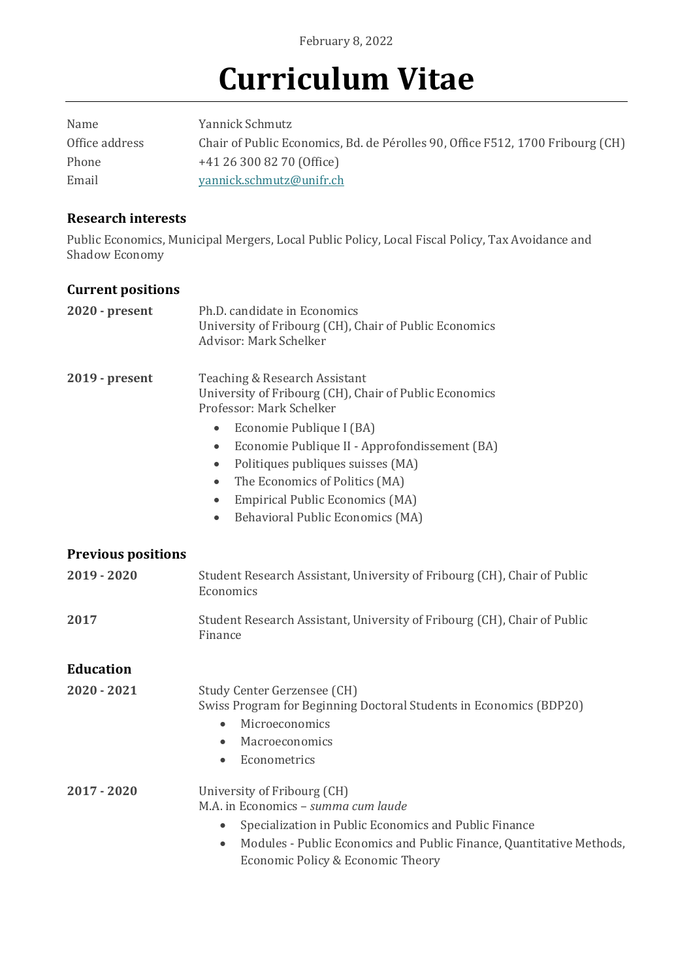# **Curriculum Vitae**

| Name           | Yannick Schmutz                                                                |
|----------------|--------------------------------------------------------------------------------|
| Office address | Chair of Public Economics, Bd. de Pérolles 90, Office F512, 1700 Fribourg (CH) |
| Phone          | +41 26 300 82 70 (Office)                                                      |
| Email          | yannick.schmutz@unifr.ch                                                       |

#### **Research interests**

Public Economics, Municipal Mergers, Local Public Policy, Local Fiscal Policy, Tax Avoidance and Shadow Economy

#### **Current positions**

| $2020 - present$          | Ph.D. candidate in Economics<br>University of Fribourg (CH), Chair of Public Economics<br>Advisor: Mark Schelker                                                                                                                                                                                                                                                                                                                    |
|---------------------------|-------------------------------------------------------------------------------------------------------------------------------------------------------------------------------------------------------------------------------------------------------------------------------------------------------------------------------------------------------------------------------------------------------------------------------------|
| $2019 - present$          | Teaching & Research Assistant<br>University of Fribourg (CH), Chair of Public Economics<br>Professor: Mark Schelker<br>Economie Publique I (BA)<br>$\bullet$<br>Economie Publique II - Approfondissement (BA)<br>$\bullet$<br>Politiques publiques suisses (MA)<br>$\bullet$<br>The Economics of Politics (MA)<br>$\bullet$<br><b>Empirical Public Economics (MA)</b><br>$\bullet$<br>Behavioral Public Economics (MA)<br>$\bullet$ |
| <b>Previous positions</b> |                                                                                                                                                                                                                                                                                                                                                                                                                                     |
| $2019 - 2020$             | Student Research Assistant, University of Fribourg (CH), Chair of Public<br>Economics                                                                                                                                                                                                                                                                                                                                               |
| 2017                      | Student Research Assistant, University of Fribourg (CH), Chair of Public<br>Finance                                                                                                                                                                                                                                                                                                                                                 |
| <b>Education</b>          |                                                                                                                                                                                                                                                                                                                                                                                                                                     |
| $2020 - 2021$             | Study Center Gerzensee (CH)<br>Swiss Program for Beginning Doctoral Students in Economics (BDP20)<br>Microeconomics<br>$\bullet$<br>Macroeconomics<br>$\bullet$<br>Econometrics<br>$\bullet$                                                                                                                                                                                                                                        |
| $2017 - 2020$             | University of Fribourg (CH)<br>M.A. in Economics - summa cum laude<br>Specialization in Public Economics and Public Finance<br>Modules - Public Economics and Public Finance, Quantitative Methods,<br>$\bullet$<br>Economic Policy & Economic Theory                                                                                                                                                                               |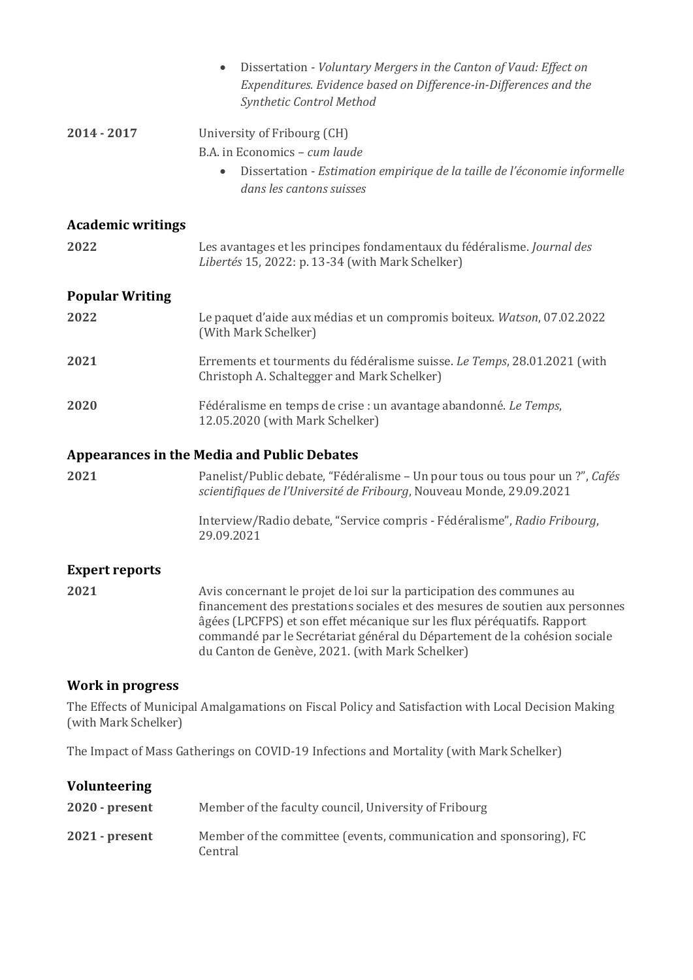|                                                    | Dissertation - Voluntary Mergers in the Canton of Vaud: Effect on<br>$\bullet$<br>Expenditures. Evidence based on Difference-in-Differences and the<br>Synthetic Control Method                                                                                                                                                                                  |  |  |
|----------------------------------------------------|------------------------------------------------------------------------------------------------------------------------------------------------------------------------------------------------------------------------------------------------------------------------------------------------------------------------------------------------------------------|--|--|
| 2014 - 2017                                        | University of Fribourg (CH)                                                                                                                                                                                                                                                                                                                                      |  |  |
|                                                    | B.A. in Economics - cum laude                                                                                                                                                                                                                                                                                                                                    |  |  |
|                                                    | Dissertation - Estimation empirique de la taille de l'économie informelle<br>$\bullet$<br>dans les cantons suisses                                                                                                                                                                                                                                               |  |  |
| <b>Academic writings</b>                           |                                                                                                                                                                                                                                                                                                                                                                  |  |  |
| 2022                                               | Les avantages et les principes fondamentaux du fédéralisme. Journal des<br>Libertés 15, 2022: p. 13-34 (with Mark Schelker)                                                                                                                                                                                                                                      |  |  |
| <b>Popular Writing</b>                             |                                                                                                                                                                                                                                                                                                                                                                  |  |  |
| 2022                                               | Le paquet d'aide aux médias et un compromis boiteux. Watson, 07.02.2022<br>(With Mark Schelker)                                                                                                                                                                                                                                                                  |  |  |
| 2021                                               | Errements et tourments du fédéralisme suisse. Le Temps, 28.01.2021 (with<br>Christoph A. Schaltegger and Mark Schelker)                                                                                                                                                                                                                                          |  |  |
| 2020                                               | Fédéralisme en temps de crise : un avantage abandonné. Le Temps,<br>12.05.2020 (with Mark Schelker)                                                                                                                                                                                                                                                              |  |  |
| <b>Appearances in the Media and Public Debates</b> |                                                                                                                                                                                                                                                                                                                                                                  |  |  |
| 2021                                               | Panelist/Public debate, "Fédéralisme - Un pour tous ou tous pour un ?", Cafés<br>scientifiques de l'Université de Fribourg, Nouveau Monde, 29.09.2021                                                                                                                                                                                                            |  |  |
|                                                    | Interview/Radio debate, "Service compris - Fédéralisme", Radio Fribourg,<br>29.09.2021                                                                                                                                                                                                                                                                           |  |  |
| <b>Expert reports</b>                              |                                                                                                                                                                                                                                                                                                                                                                  |  |  |
| 2021                                               | Avis concernant le projet de loi sur la participation des communes au<br>financement des prestations sociales et des mesures de soutien aux personnes<br>âgées (LPCFPS) et son effet mécanique sur les flux péréquatifs. Rapport<br>commandé par le Secrétariat général du Département de la cohésion sociale<br>du Canton de Genève, 2021. (with Mark Schelker) |  |  |

### **Work in progress**

The Effects of Municipal Amalgamations on Fiscal Policy and Satisfaction with Local Decision Making (with Mark Schelker)

The Impact of Mass Gatherings on COVID-19 Infections and Mortality (with Mark Schelker)

| <b>Volunteering</b> |                                                                               |
|---------------------|-------------------------------------------------------------------------------|
| $2020$ - present    | Member of the faculty council, University of Fribourg                         |
| $2021$ - present    | Member of the committee (events, communication and sponsoring), FC<br>Central |